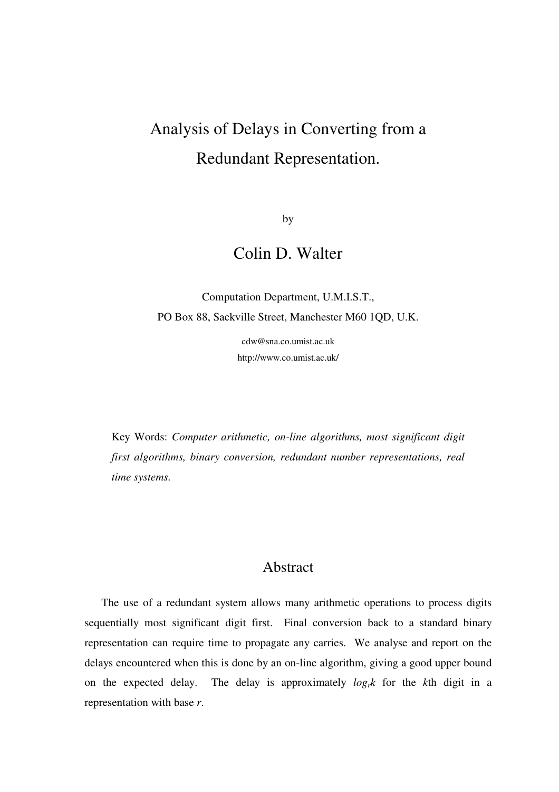# Analysis of Delays in Converting from a Redundant Representation.

by

# Colin D. Walter

Computation Department, U.M.I.S.T., PO Box 88, Sackville Street, Manchester M60 1QD, U.K.

> cdw@sna.co.umist.ac.uk http://www.co.umist.ac.uk/

Key Words: *Computer arithmetic, on-line algorithms, most significant digit first algorithms, binary conversion, redundant number representations, real time systems.* 

## Abstract

 The use of a redundant system allows many arithmetic operations to process digits sequentially most significant digit first. Final conversion back to a standard binary representation can require time to propagate any carries. We analyse and report on the delays encountered when this is done by an on-line algorithm, giving a good upper bound on the expected delay. The delay is approximately *logrk* for the *k*th digit in a representation with base *r*.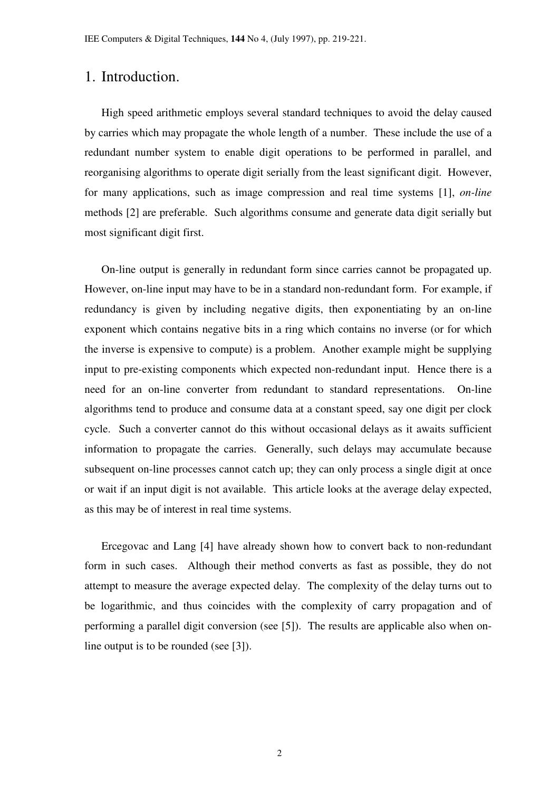#### 1. Introduction.

 High speed arithmetic employs several standard techniques to avoid the delay caused by carries which may propagate the whole length of a number. These include the use of a redundant number system to enable digit operations to be performed in parallel, and reorganising algorithms to operate digit serially from the least significant digit. However, for many applications, such as image compression and real time systems [1], *on-line* methods [2] are preferable. Such algorithms consume and generate data digit serially but most significant digit first.

 On-line output is generally in redundant form since carries cannot be propagated up. However, on-line input may have to be in a standard non-redundant form. For example, if redundancy is given by including negative digits, then exponentiating by an on-line exponent which contains negative bits in a ring which contains no inverse (or for which the inverse is expensive to compute) is a problem. Another example might be supplying input to pre-existing components which expected non-redundant input. Hence there is a need for an on-line converter from redundant to standard representations. On-line algorithms tend to produce and consume data at a constant speed, say one digit per clock cycle. Such a converter cannot do this without occasional delays as it awaits sufficient information to propagate the carries. Generally, such delays may accumulate because subsequent on-line processes cannot catch up; they can only process a single digit at once or wait if an input digit is not available. This article looks at the average delay expected, as this may be of interest in real time systems.

 Ercegovac and Lang [4] have already shown how to convert back to non-redundant form in such cases. Although their method converts as fast as possible, they do not attempt to measure the average expected delay. The complexity of the delay turns out to be logarithmic, and thus coincides with the complexity of carry propagation and of performing a parallel digit conversion (see [5]). The results are applicable also when online output is to be rounded (see [3]).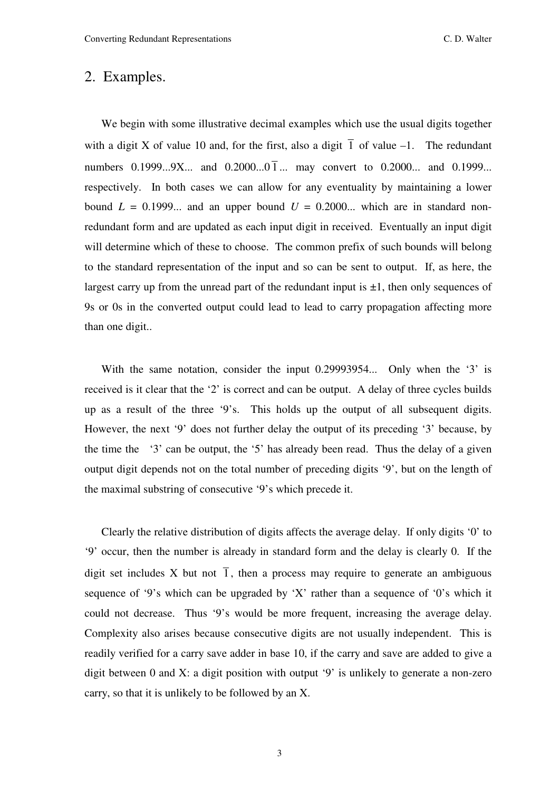#### 2. Examples.

 We begin with some illustrative decimal examples which use the usual digits together with a digit X of value 10 and, for the first, also a digit  $\overline{1}$  of value –1. The redundant numbers 0.1999...9X... and  $0.2000...0 \bar{1}$ ... may convert to 0.2000... and 0.1999... respectively. In both cases we can allow for any eventuality by maintaining a lower bound  $L = 0.1999...$  and an upper bound  $U = 0.2000...$  which are in standard nonredundant form and are updated as each input digit in received. Eventually an input digit will determine which of these to choose. The common prefix of such bounds will belong to the standard representation of the input and so can be sent to output. If, as here, the largest carry up from the unread part of the redundant input is  $\pm 1$ , then only sequences of 9s or 0s in the converted output could lead to lead to carry propagation affecting more than one digit..

 With the same notation, consider the input 0.29993954... Only when the '3' is received is it clear that the '2' is correct and can be output. A delay of three cycles builds up as a result of the three '9's. This holds up the output of all subsequent digits. However, the next '9' does not further delay the output of its preceding '3' because, by the time the '3' can be output, the '5' has already been read. Thus the delay of a given output digit depends not on the total number of preceding digits '9', but on the length of the maximal substring of consecutive '9's which precede it.

 Clearly the relative distribution of digits affects the average delay. If only digits '0' to '9' occur, then the number is already in standard form and the delay is clearly 0. If the digit set includes X but not  $\overline{1}$ , then a process may require to generate an ambiguous sequence of '9's which can be upgraded by 'X' rather than a sequence of '0's which it could not decrease. Thus '9's would be more frequent, increasing the average delay. Complexity also arises because consecutive digits are not usually independent. This is readily verified for a carry save adder in base 10, if the carry and save are added to give a digit between 0 and X: a digit position with output '9' is unlikely to generate a non-zero carry, so that it is unlikely to be followed by an X.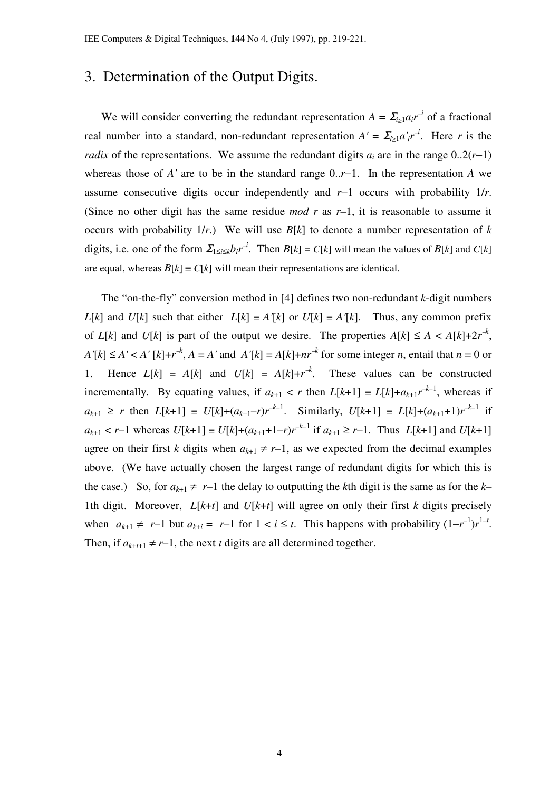### 3. Determination of the Output Digits.

We will consider converting the redundant representation  $A = \sum_{i \geq 1} a_i r^{-i}$  of a fractional real number into a standard, non-redundant representation  $A' = \sum_{i \geq 1} a'_i r^{-i}$ . Here r is the *radix* of the representations. We assume the redundant digits  $a_i$  are in the range  $0..2(r-1)$ whereas those of *A'* are to be in the standard range 0..*r*−1. In the representation *A* we assume consecutive digits occur independently and *r*−1 occurs with probability 1/*r*. (Since no other digit has the same residue *mod r* as *r*–1, it is reasonable to assume it occurs with probability  $1/r$ .) We will use  $B[k]$  to denote a number representation of k digits, i.e. one of the form  $\sum_{1 \le i \le k} b_i r^{-i}$ . Then  $B[k] = C[k]$  will mean the values of  $B[k]$  and  $C[k]$ are equal, whereas  $B[k] \equiv C[k]$  will mean their representations are identical.

 The "on-the-fly" conversion method in [4] defines two non-redundant *k*-digit numbers *L*[*k*] and *U*[*k*] such that either *L*[*k*]  $\equiv$  *A'*[*k*] or *U*[*k*]  $\equiv$  *A'*[*k*]. Thus, any common prefix of  $L[k]$  and  $U[k]$  is part of the output we desire. The properties  $A[k] \leq A < A[k]+2r^{-k}$ ,  $A'[k] \leq A' < A'[k]+r^k$ ,  $A = A'$  and  $A'[k] = A[k]+nr^k$  for some integer *n*, entail that  $n = 0$  or 1. Hence  $L[k] = A[k]$  and  $U[k] = A[k]+r^k$ . These values can be constructed incrementally. By equating values, if  $a_{k+1} < r$  then  $L[k+1] \equiv L[k]+a_{k+1}r^{-k-1}$ , whereas if  $a_{k+1} \geq r$  then  $L[k+1] \equiv U[k]+(a_{k+1}-r)r^{k-1}$ . Similarly,  $U[k+1] \equiv L[k]+(a_{k+1}+1)r^{k-1}$  if  $a_{k+1} < r-1$  whereas  $U[k+1] \equiv U[k]+(a_{k+1}+1-r)r^{-k-1}$  if  $a_{k+1} \geq r-1$ . Thus  $L[k+1]$  and  $U[k+1]$ agree on their first *k* digits when  $a_{k+1} \neq r-1$ , as we expected from the decimal examples above. (We have actually chosen the largest range of redundant digits for which this is the case.) So, for  $a_{k+1} \neq r-1$  the delay to outputting the *k*th digit is the same as for the *k*– 1th digit. Moreover,  $L[k+t]$  and  $U[k+t]$  will agree on only their first *k* digits precisely when  $a_{k+1} \neq r-1$  but  $a_{k+i} = r-1$  for  $1 < i \leq t$ . This happens with probability  $(1-r^{-1})r^{1-t}$ . Then, if  $a_{k+t+1} \neq r-1$ , the next *t* digits are all determined together.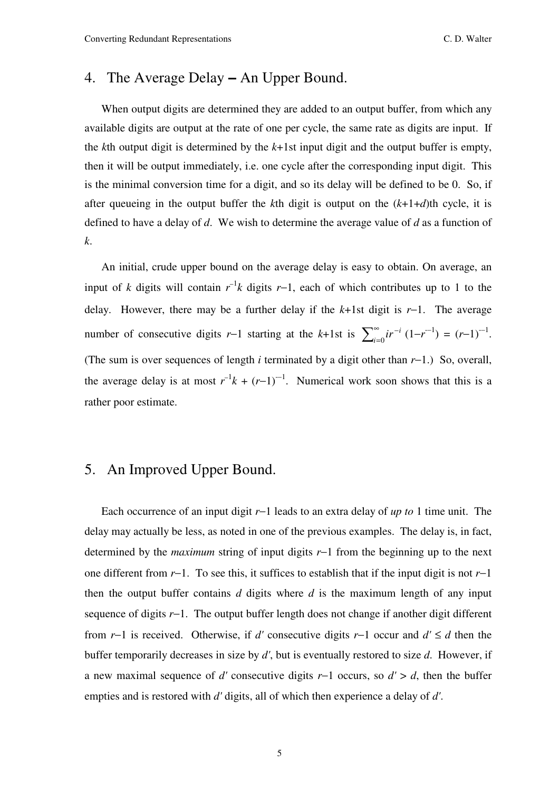#### 4. The Average Delay − An Upper Bound.

When output digits are determined they are added to an output buffer, from which any available digits are output at the rate of one per cycle, the same rate as digits are input. If the *k*th output digit is determined by the *k*+1st input digit and the output buffer is empty, then it will be output immediately, i.e. one cycle after the corresponding input digit. This is the minimal conversion time for a digit, and so its delay will be defined to be 0. So, if after queueing in the output buffer the *k*th digit is output on the (*k*+1+*d*)th cycle, it is defined to have a delay of *d*. We wish to determine the average value of *d* as a function of *k*.

 An initial, crude upper bound on the average delay is easy to obtain. On average, an input of *k* digits will contain  $r^{-1}k$  digits *r*−1, each of which contributes up to 1 to the delay. However, there may be a further delay if the *k*+1st digit is *r*−1. The average number of consecutive digits *r*−1 starting at the *k*+1st is  $\sum_{i=0}^{\infty} i r^{-i}$ − =  $\sum_{i=0}^{\infty}$  *ir*<sup>-*i*</sup></sup> (1-*r*<sup>-1</sup>) = (*r*-1)<sup>-1</sup>. (The sum is over sequences of length *i* terminated by a digit other than *r*−1.) So, overall, the average delay is at most  $r^{-1}k + (r-1)^{-1}$ . Numerical work soon shows that this is a rather poor estimate.

#### 5. An Improved Upper Bound.

 Each occurrence of an input digit *r*−1 leads to an extra delay of *up to* 1 time unit. The delay may actually be less, as noted in one of the previous examples. The delay is, in fact, determined by the *maximum* string of input digits *r*−1 from the beginning up to the next one different from *r*−1. To see this, it suffices to establish that if the input digit is not *r*−1 then the output buffer contains *d* digits where *d* is the maximum length of any input sequence of digits *r*−1. The output buffer length does not change if another digit different from *r*−1 is received. Otherwise, if *d'* consecutive digits *r*−1 occur and *d'* ≤ *d* then the buffer temporarily decreases in size by *d'*, but is eventually restored to size *d*. However, if a new maximal sequence of *d'* consecutive digits *r*−1 occurs, so *d'* > *d*, then the buffer empties and is restored with *d'* digits, all of which then experience a delay of *d'*.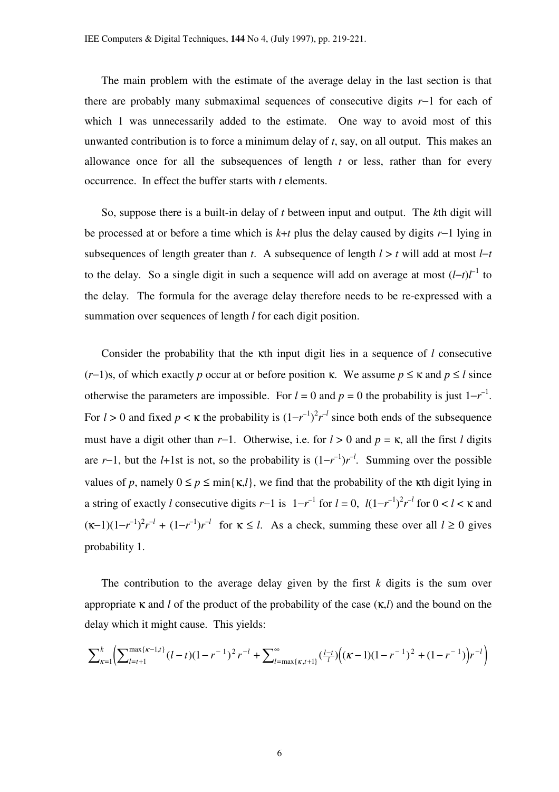The main problem with the estimate of the average delay in the last section is that there are probably many submaximal sequences of consecutive digits *r*−1 for each of which 1 was unnecessarily added to the estimate. One way to avoid most of this unwanted contribution is to force a minimum delay of *t*, say, on all output. This makes an allowance once for all the subsequences of length *t* or less, rather than for every occurrence. In effect the buffer starts with *t* elements.

 So, suppose there is a built-in delay of *t* between input and output. The *k*th digit will be processed at or before a time which is *k*+*t* plus the delay caused by digits *r*−1 lying in subsequences of length greater than *t*. A subsequence of length  $l > t$  will add at most  $l-t$ to the delay. So a single digit in such a sequence will add on average at most  $(l-t)l^{-1}$  to the delay. The formula for the average delay therefore needs to be re-expressed with a summation over sequences of length *l* for each digit position.

 Consider the probability that the κth input digit lies in a sequence of *l* consecutive (*r*−1)s, of which exactly *p* occur at or before position  $\kappa$ . We assume  $p \leq \kappa$  and  $p \leq l$  since otherwise the parameters are impossible. For  $l = 0$  and  $p = 0$  the probability is just  $1 - r^{-1}$ . For  $l > 0$  and fixed  $p < \kappa$  the probability is  $(1 - r^{-1})^2 r^{-l}$  since both ends of the subsequence must have a digit other than *r*−1. Otherwise, i.e. for *l* > 0 and *p* = κ, all the first *l* digits are *r*−1, but the *l*+1st is not, so the probability is  $(1 - r^{-1})r^{-1}$ . Summing over the possible values of *p*, namely  $0 \le p \le \min\{\kappa, l\}$ , we find that the probability of the  $\kappa$ th digit lying in a string of exactly *l* consecutive digits *r*−1 is  $1-r^{-1}$  for  $l = 0$ ,  $l(1-r^{-1})^2r^{-l}$  for  $0 < l < \kappa$  and  $(\kappa-1)(1-r^{-1})^2r^{-l} + (1-r^{-1})r^{-l}$  for  $\kappa \le l$ . As a check, summing these over all  $l \ge 0$  gives probability 1.

 The contribution to the average delay given by the first *k* digits is the sum over appropriate κ and *l* of the product of the probability of the case (κ,*l*) and the bound on the delay which it might cause. This yields:

$$
\sum_{\kappa=1}^k \left( \sum_{l=t+1}^{\max\{\kappa-1,t\}} (l-t)(1-r^{-1})^2 r^{-l} + \sum_{l=\max\{\kappa,t+1\}}^{\infty} \left( \frac{l-t}{l} \right) \left( (\kappa-1)(1-r^{-1})^2 + (1-r^{-1}) \right) r^{-l} \right)
$$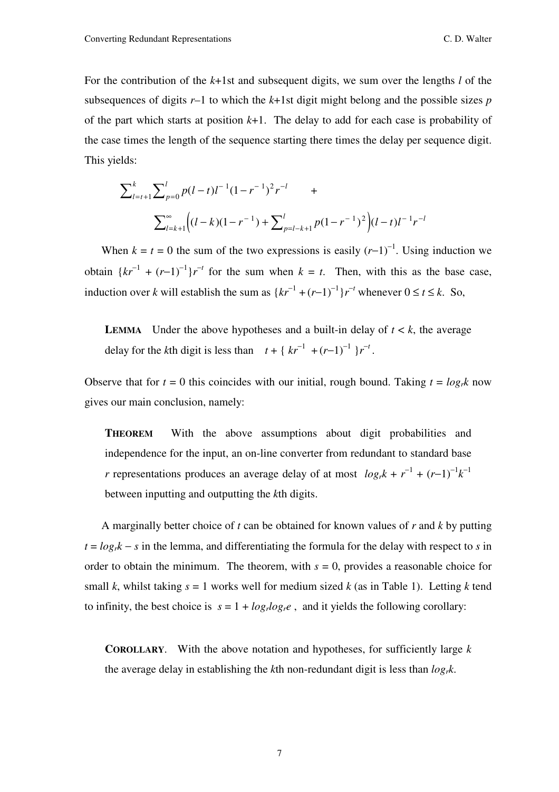For the contribution of the *k*+1st and subsequent digits, we sum over the lengths *l* of the subsequences of digits  $r-1$  to which the  $k+1$ st digit might belong and the possible sizes  $p$ of the part which starts at position  $k+1$ . The delay to add for each case is probability of the case times the length of the sequence starting there times the delay per sequence digit. This yields:

$$
\sum_{l=t+1}^{k} \sum_{p=0}^{l} p(l-t)l^{-1}(1-r^{-1})^{2}r^{-l} + \sum_{l=k+1}^{\infty} \left( (l-k)(1-r^{-1}) + \sum_{p=l-k+1}^{l} p(1-r^{-1})^{2} \right) (l-t)l^{-1}r^{-l}
$$

When  $k = t = 0$  the sum of the two expressions is easily  $(r-1)^{-1}$ . Using induction we obtain  $\{kr^{-1} + (r-1)^{-1}\}r^{-t}$  for the sum when  $k = t$ . Then, with this as the base case, induction over *k* will establish the sum as  $\{kr^{-1} + (r-1)^{-1}\}r^{-t}$  whenever  $0 \le t \le k$ . So,

**LEMMA** Under the above hypotheses and a built-in delay of  $t < k$ , the average delay for the *k*th digit is less than  $t + \{ kr^{-1} + (r-1)^{-1} \}r^{-t}$ .

Observe that for  $t = 0$  this coincides with our initial, rough bound. Taking  $t = log_t k$  now gives our main conclusion, namely:

**THEOREM** With the above assumptions about digit probabilities and independence for the input, an on-line converter from redundant to standard base *r* representations produces an average delay of at most  $log_t k + r^{-1} + (r-1)^{-1}k^{-1}$ between inputting and outputting the *k*th digits.

 A marginally better choice of *t* can be obtained for known values of *r* and *k* by putting  $t = log_r k - s$  in the lemma, and differentiating the formula for the delay with respect to *s* in order to obtain the minimum. The theorem, with  $s = 0$ , provides a reasonable choice for small *k*, whilst taking  $s = 1$  works well for medium sized *k* (as in Table 1). Letting *k* tend to infinity, the best choice is  $s = 1 + log_r log_r e$ , and it yields the following corollary:

**COROLLARY**. With the above notation and hypotheses, for sufficiently large *k* the average delay in establishing the *k*th non-redundant digit is less than *logrk*.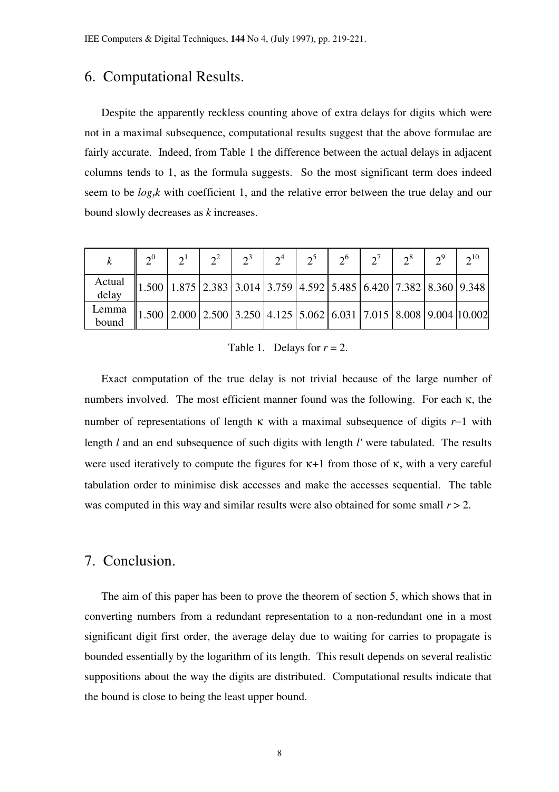#### 6. Computational Results.

 Despite the apparently reckless counting above of extra delays for digits which were not in a maximal subsequence, computational results suggest that the above formulae are fairly accurate. Indeed, from Table 1 the difference between the actual delays in adjacent columns tends to 1, as the formula suggests. So the most significant term does indeed seem to be *logrk* with coefficient 1, and the relative error between the true delay and our bound slowly decreases as *k* increases.

|                 | $\gamma^0$ | $\gamma^1$ | $\gamma^2$ | $\frac{2}{3}$ | $2^4$ | $2^5$   $2^6$   $2^7$   $2^8$   $2^9$                                             |  | $2^{10}$ |
|-----------------|------------|------------|------------|---------------|-------|-----------------------------------------------------------------------------------|--|----------|
| Actual<br>delay |            |            |            |               |       | $\ 1.500\ 1.875\ 2.383\ 3.014\ 3.759\ 4.592\ 5.485\ 6.420\ 7.382\ 8.360\ 9.348\ $ |  |          |
| Lemma<br>bound  |            |            |            |               |       | $\ 1.500\ 2.000\ 2.500\ 3.250\ 4.125\ 5.062\ 6.031\ 7.015\ 8.008\ 9.004\ 10.002$  |  |          |

Table 1. Delays for  $r = 2$ .

 Exact computation of the true delay is not trivial because of the large number of numbers involved. The most efficient manner found was the following. For each  $\kappa$ , the number of representations of length κ with a maximal subsequence of digits *r*−1 with length *l* and an end subsequence of such digits with length *l'* were tabulated. The results were used iteratively to compute the figures for  $\kappa+1$  from those of  $\kappa$ , with a very careful tabulation order to minimise disk accesses and make the accesses sequential. The table was computed in this way and similar results were also obtained for some small  $r > 2$ .

#### 7. Conclusion.

 The aim of this paper has been to prove the theorem of section 5, which shows that in converting numbers from a redundant representation to a non-redundant one in a most significant digit first order, the average delay due to waiting for carries to propagate is bounded essentially by the logarithm of its length. This result depends on several realistic suppositions about the way the digits are distributed. Computational results indicate that the bound is close to being the least upper bound.